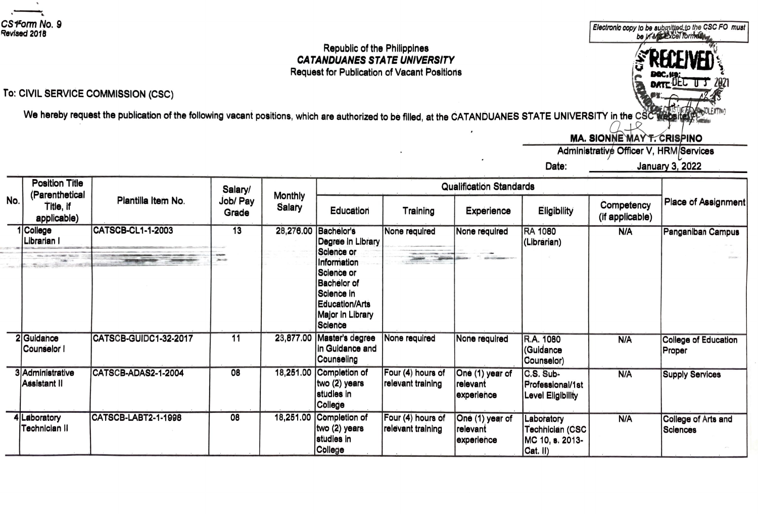Z

## Republic of the Philippines **CATANDUANES STATE UNIVERSITY Request for Publication of Vacant Positions**

## To: CIVIL SERVICE COMMISSION (CSC)

We hereby request the publication of the following vacant positions, which are authorized to be filled, at the CATANDUANES STATE UNIVERSITY in the CSC wabs  $\cap$ 

**MA. SIONNE MAY T. CRISPINO** 

Administrative Officer V, HRM/Services

Date:

**January 3, 2022** 

Electronic copy to be submitted to the CSC FO must<br>be in MEXcel formelling

| ١o. | Position Title<br>(Parenthetical<br>Title, if<br>applicable) | Plantilla Item No.    | Salary/<br>Job/ Pay<br>Grade | <b>Monthly</b><br>Salary | <b>Qualification Standards</b>                                                                                                                            |                                         |                                           |                                                                  |                               |                                       |
|-----|--------------------------------------------------------------|-----------------------|------------------------------|--------------------------|-----------------------------------------------------------------------------------------------------------------------------------------------------------|-----------------------------------------|-------------------------------------------|------------------------------------------------------------------|-------------------------------|---------------------------------------|
|     |                                                              |                       |                              |                          | Education                                                                                                                                                 | Training                                | Experience                                | Eligibility                                                      | Competency<br>(if applicable) | Place of Assignment                   |
|     | 1 College<br>Librarian I                                     | CATSCB-CL1-1-2003     | 13<br><b>Januar</b>          | 28,276.00                | Bachelor's<br>Degree in Library<br>Science or<br>Information<br>Science or<br>Bachelor of<br>IScience in<br>Education/Arts<br>Major in Library<br>Science | None required<br><b>Control Control</b> | None required                             | <b>RA 1080</b><br>(Librarian)                                    | N/A                           | Panganiban Campus                     |
|     | 2 Guidance<br> Counselor I                                   | CATSCB-GUIDC1-32-2017 | 11                           |                          | 23,877.00 Master's degree<br>In Guidance and<br> Counseling                                                                                               | None required                           | None required                             | R.A. 1080<br>(Guidance<br>(Counselor)                            | N/A                           | <b>College of Education</b><br>Proper |
|     | 3İ Administrative<br>Assistant II                            | ICATSCB-ADAS2-1-2004  | 08                           |                          | 18,251.00 Completion of<br>two (2) years<br>studies in<br>College                                                                                         | Four (4) hours of<br>relevant training  | One (1) year of<br>relevant<br>experience | C.S. Sub-<br>Professional/1st<br>Level Eligibility               | N/A                           | <b>Supply Services</b>                |
|     | Laboratory<br>Technician II                                  | ICATSCB-LABT2-1-1998  | 08                           |                          | 18,251.00 Completion of<br>(two (2) years<br>studies in<br>College                                                                                        | Four (4) hours of<br>relevant training  | One (1) year of<br>relevant<br>experience | Laboratory<br>Technician (CSC<br>IMC 10, s. 2013-<br>$Cat.$ $I)$ | N/A                           | College of Arts and<br>Sciences       |